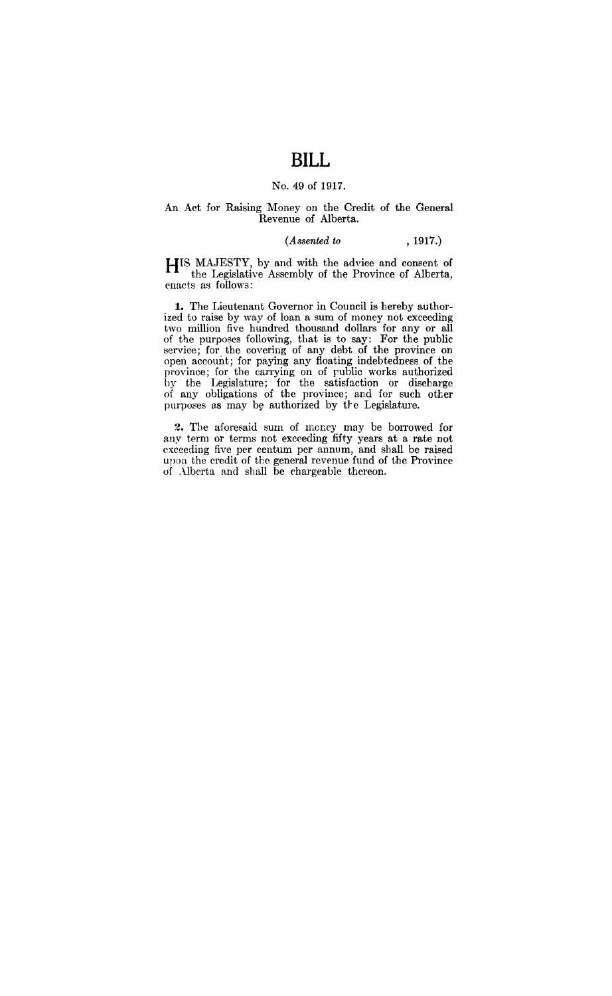# **BILL**

#### No. 49 of 1917.

#### An Act for Raising Money on the Credit of the General Revenue of Alberta.

#### *(Assented to* , 1917.)

HIS MAJESTY, by and with the advice and consent of the Legislative Assembly of the Province of Alberta, enacts as follows:

**1.** The Lieutenant Governor in Council is hereby authorized to raise by way of loan a sum of money not exeeeding two million five hundred thousand dollars for any or all of the purposes following, that is to say: For the public service; for the covering of any debt of the province on open account; for paying any floating indebtedness of the province; for the carrying on of rublic works authorized by the Legislature; for the satisfaction or discharge of any obligations of the province; and for such otter purposes as may be authorized by the Legislature.

2. The aforesaid sum of money may be borrowed for any term or terms not exceeding fifty years at a rate not exceeding five per centum per annum, and shall be raised upon the credit of the general revenue fund of the Province of Alberta and shall be chargeable thereon.